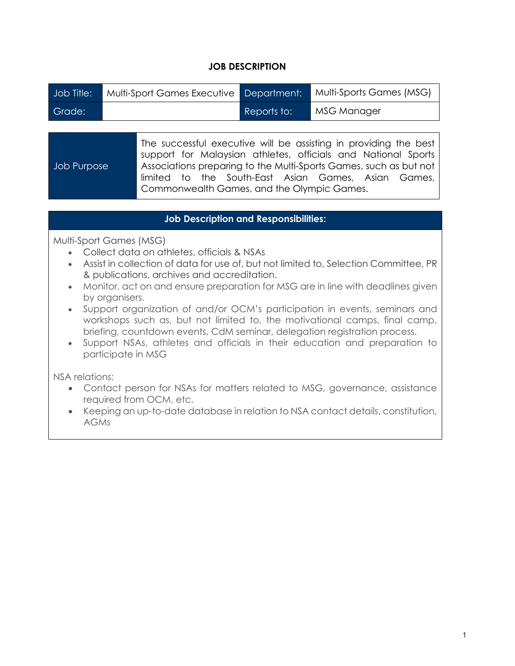## **JOB DESCRIPTION**

| Job Title: | Multi-Sport Games Executive   Department: |             | Multi-Sports Games (MSG) |
|------------|-------------------------------------------|-------------|--------------------------|
| Grade:     |                                           | Reports to: | MSG Manager              |

| Job Purpose | The successful executive will be assisting in providing the best<br>support for Malaysian athletes, officials and National Sports<br>Associations preparing to the Multi-Sports Games, such as but not |
|-------------|--------------------------------------------------------------------------------------------------------------------------------------------------------------------------------------------------------|
|             | limited to the South-East Asian Games, Asian Games,                                                                                                                                                    |
|             | Commonwealth Games, and the Olympic Games.                                                                                                                                                             |

## **Job Description and Responsibilities:**

Multi-Sport Games (MSG)

- Collect data on athletes, officials & NSAs
- Assist in collection of data for use of, but not limited to, Selection Committee, PR & publications, archives and accreditation.
- Monitor, act on and ensure preparation for MSG are in line with deadlines given by organisers.
- Support organization of and/or OCM's participation in events, seminars and workshops such as, but not limited to, the motivational camps, final camp, briefing, countdown events, CdM seminar, delegation registration process.
- Support NSAs, athletes and officials in their education and preparation to participate in MSG

NSA relations:

- Contact person for NSAs for matters related to MSG, governance, assistance required from OCM, etc.
- Keeping an up-to-date database in relation to NSA contact details, constitution, AGMs